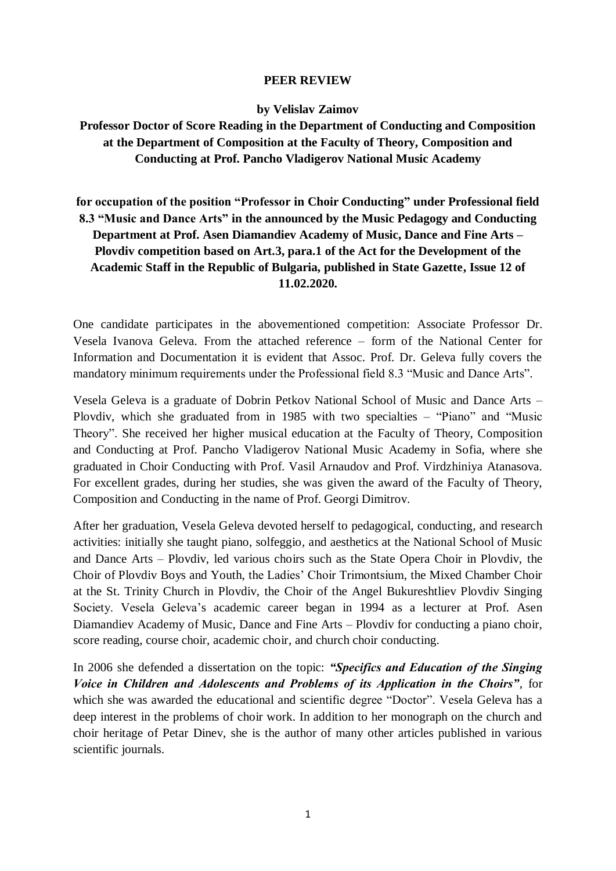## **PEER REVIEW**

## **by Velislav Zaimov**

**Professor Doctor of Score Reading in the Department of Conducting and Composition at the Department of Composition at the Faculty of Theory, Composition and Conducting at Prof. Pancho Vladigerov National Music Academy** 

## **for occupation of the position "Professor in Choir Conducting" under Professional field 8.3 "Music and Dance Arts" in the announced by the Music Pedagogy and Conducting Department at Prof. Asen Diamandiev Academy of Music, Dance and Fine Arts – Plovdiv competition based on Art.3, para.1 of the Act for the Development of the Academic Staff in the Republic of Bulgaria, published in State Gazette, Issue 12 of 11.02.2020.**

One candidate participates in the abovementioned competition: Associate Professor Dr. Vesela Ivanova Geleva. From the attached reference – form of the National Center for Information and Documentation it is evident that Assoc. Prof. Dr. Geleva fully covers the mandatory minimum requirements under the Professional field 8.3 "Music and Dance Arts".

Vesela Geleva is a graduate of Dobrin Petkov National School of Music and Dance Arts – Plovdiv, which she graduated from in 1985 with two specialties – "Piano" and "Music Theory". She received her higher musical education at the Faculty of Theory, Composition and Conducting at Prof. Pancho Vladigerov National Music Academy in Sofia, where she graduated in Choir Conducting with Prof. Vasil Arnaudov and Prof. Virdzhiniya Atanasova. For excellent grades, during her studies, she was given the award of the Faculty of Theory, Composition and Conducting in the name of Prof. Georgi Dimitrov.

After her graduation, Vesela Geleva devoted herself to pedagogical, conducting, and research activities: initially she taught piano, solfeggio, and aesthetics at the National School of Music and Dance Arts – Plovdiv, led various choirs such as the State Opera Choir in Plovdiv, the Choir of Plovdiv Boys and Youth, the Ladies' Choir Trimontsium, the Mixed Chamber Choir at the St. Trinity Church in Plovdiv, the Choir of the Angel Bukureshtliev Plovdiv Singing Society. Vesela Geleva's academic career began in 1994 as a lecturer at Prof. Asen Diamandiev Academy of Music, Dance and Fine Arts – Plovdiv for conducting a piano choir, score reading, course choir, academic choir, and church choir conducting.

In 2006 she defended a dissertation on the topic: *"Specifics and Education of the Singing Voice in Children and Adolescents and Problems of its Application in the Choirs"*, for which she was awarded the educational and scientific degree "Doctor". Vesela Geleva has a deep interest in the problems of choir work. In addition to her monograph on the church and choir heritage of Petar Dinev, she is the author of many other articles published in various scientific journals.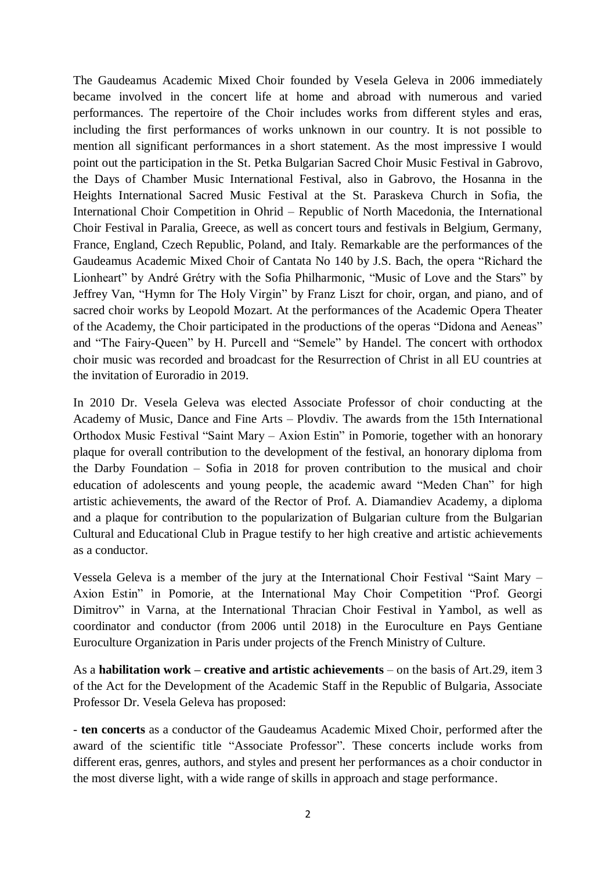The Gaudeamus Academic Mixed Choir founded by Vesela Geleva in 2006 immediately became involved in the concert life at home and abroad with numerous and varied performances. The repertoire of the Choir includes works from different styles and eras, including the first performances of works unknown in our country. It is not possible to mention all significant performances in a short statement. As the most impressive I would point out the participation in the St. Petka Bulgarian Sacred Choir Music Festival in Gabrovo, the Days of Chamber Music International Festival, also in Gabrovo, the Hosanna in the Heights International Sacred Music Festival at the St. Paraskeva Church in Sofia, the International Choir Competition in Ohrid – Republic of North Macedonia, the International Choir Festival in Paralia, Greece, as well as concert tours and festivals in Belgium, Germany, France, England, Czech Republic, Poland, and Italy. Remarkable are the performances of the Gaudeamus Academic Mixed Choir of Cantata No 140 by J.S. Bach, the opera "Richard the Lionheart" by André Grétry with the Sofia Philharmonic, "Music of Love and the Stars" by Jeffrey Van, "Hymn for The Holy Virgin" by Franz Liszt for choir, organ, and piano, and of sacred choir works by Leopold Mozart. At the performances of the Academic Opera Theater of the Academy, the Choir participated in the productions of the operas "Didona and Aeneas" and "The Fairy-Queen" by H. Purcell and "Semele" by Handel. The concert with orthodox choir music was recorded and broadcast for the Resurrection of Christ in all EU countries at the invitation of Euroradio in 2019.

In 2010 Dr. Vesela Geleva was elected Associate Professor of choir conducting at the Academy of Music, Dance and Fine Arts – Plovdiv. The awards from the 15th International Orthodox Music Festival "Saint Mary – Axion Estin" in Pomorie, together with an honorary plaque for overall contribution to the development of the festival, an honorary diploma from the Darby Foundation – Sofia in 2018 for proven contribution to the musical and choir education of adolescents and young people, the academic award "Meden Chan" for high artistic achievements, the award of the Rector of Prof. A. Diamandiev Academy, a diploma and a plaque for contribution to the popularization of Bulgarian culture from the Bulgarian Cultural and Educational Club in Prague testify to her high creative and artistic achievements as a conductor.

Vessela Geleva is a member of the jury at the International Choir Festival "Saint Mary – Axion Estin" in Pomorie, at the International May Choir Competition "Prof. Georgi Dimitrov" in Varna, at the International Thracian Choir Festival in Yambol, as well as coordinator and conductor (from 2006 until 2018) in the Euroculture en Pays Gentiane Euroculture Organization in Paris under projects of the French Ministry of Culture.

As a **habilitation work – creative and artistic achievements** – on the basis of Art.29, item 3 of the Act for the Development of the Academic Staff in the Republic of Bulgaria, Associate Professor Dr. Vesela Geleva has proposed:

- **ten concerts** as a conductor of the Gaudeamus Academic Mixed Choir, performed after the award of the scientific title "Associate Professor". These concerts include works from different eras, genres, authors, and styles and present her performances as a choir conductor in the most diverse light, with a wide range of skills in approach and stage performance.